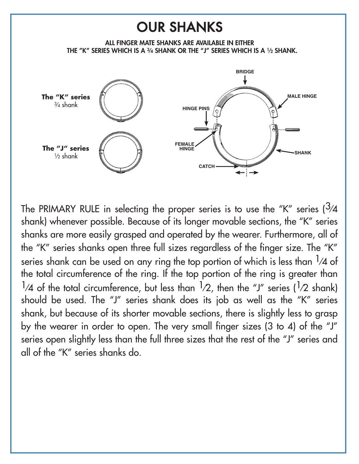## OUR SHANKS





The PRIMARY RULE in selecting the proper series is to use the "K" series  $\frac{3}{4}$ shank) whenever possible. Because of its longer movable sections, the "K" series shanks are more easily grasped and operated by the wearer. Furthermore, all of the "K" series shanks open three full sizes regardless of the finger size. The "K" series shank can be used on any ring the top portion of which is less than  $\frac{1}{4}$  of the total circumference of the ring. If the top portion of the ring is greater than  $\frac{1}{4}$  of the total circumference, but less than  $\frac{1}{2}$ , then the "J" series ( $\frac{1}{2}$  shank) should be used. The "J" series shank does its job as well as the "K" series shank, but because of its shorter movable sections, there is slightly less to grasp by the wearer in order to open. The very small finger sizes (3 to 4) of the "J" series open slightly less than the full three sizes that the rest of the "J" series and all of the "K" series shanks do.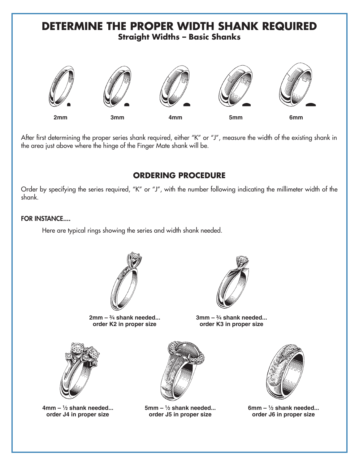# **DETERMINE THE PROPER WIDTH SHANK REQUIRED Straight Widths – Basic Shanks**

### **ORDERING PROCEDURE**

**2mm 3mm 4mm 5mm 6mm**

After first determining the proper series shank required, either "K" or "J", measure the width of the existing shank in

Order by specifying the series required, "K" or "J", with the number following indicating the millimeter width of the shank.

#### FOR INSTANCE....

Here are typical rings showing the series and width shank needed.

the area just above where the hinge of the Finger Mate shank will be.



**2mm – 3⁄4 shank needed... order K2 in proper size**



**3mm – 3⁄4 shank needed... order K3 in proper size**



**4mm – 1⁄2 shank needed... order J4 in proper size**



**5mm – 1⁄2 shank needed... order J5 in proper size**



**6mm – 1⁄2 shank needed... order J6 in proper size**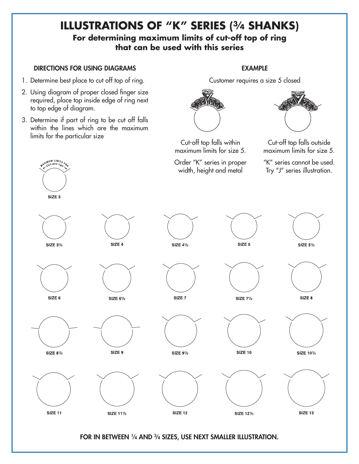## **Illustrations of "K" Series (3⁄4 shanks) For determining maximum limits of cut-off top of ring that can be used with this series**

#### Directions for using diagrams

- 1. Determine best place to cut off top of ring.
- 2. Using diagram of proper closed finger size required, place top inside edge of ring next to top edge of diagram.
- 3. Determine if part of ring to be cut off falls within the lines which are the maximum limits for the particular size

IMUM LIMITS<br>CUT-OFF TO<sub>A</sub>

#### **EXAMPLE**

Customer requires a size 5 closed



Cut-off top falls within maximum limits for size 5.

Order "K" series in proper width, height and metal



Cut-off top falls outside maximum limits for size 5.

"K" series cannot be used.

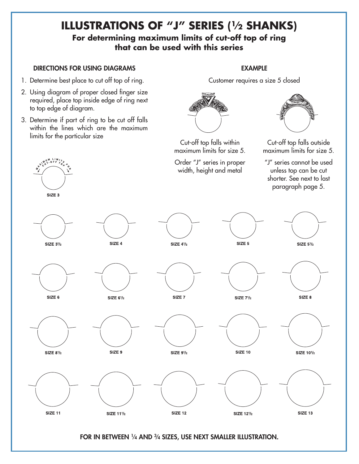## **Illustrations of "J" Series (1⁄2 shanks) For determining maximum limits of cut-off top of ring that can be used with this series**

#### Directions for using diagrams

- 1. Determine best place to cut off top of ring.
- 2. Using diagram of proper closed finger size required, place top inside edge of ring next to top edge of diagram.
- 3. Determine if part of ring to be cut off falls within the lines which are the maximum limits for the particular size

 $W^{U^M LIM}$ 

#### Example

Customer requires a size 5 closed



Cut-off top falls within maximum limits for size 5.

Order "J" series in proper width, height and metal



Cut-off top falls outside maximum limits for size 5.





FOR IN BETWEEN 1/4 AND 3/4 SIZES, USE NEXT SMALLER ILLUSTRATION.